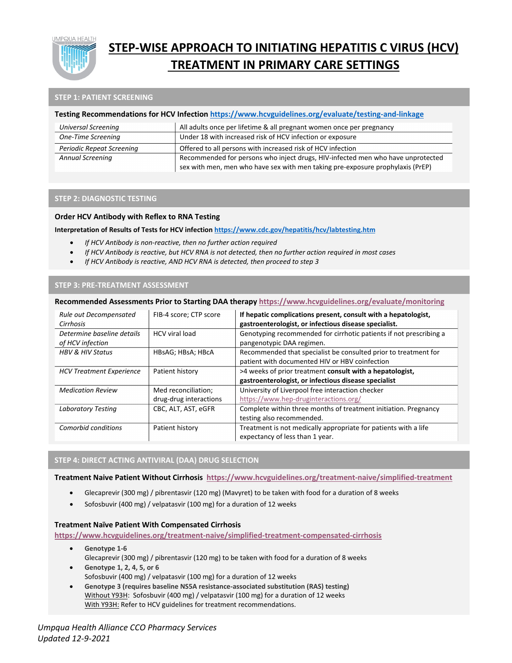

## **STEP-WISE APPROACH TO INITIATING HEPATITIS C VIRUS (HCV) TREATMENT IN PRIMARY CARE SETTINGS**

#### **STEP 1: PATIENT SCREENING**

#### **Testing Recommendations for HCV Infectio[n https://www.hcvguidelines.org/evaluate/testing-and-linkage](https://www.hcvguidelines.org/evaluate/testing-and-linkage)**

| Universal Screening              | All adults once per lifetime & all pregnant women once per pregnancy            |
|----------------------------------|---------------------------------------------------------------------------------|
| One-Time Screening               | Under 18 with increased risk of HCV infection or exposure                       |
| <b>Periodic Repeat Screening</b> | Offered to all persons with increased risk of HCV infection                     |
| <b>Annual Screening</b>          | Recommended for persons who inject drugs, HIV-infected men who have unprotected |
|                                  | sex with men, men who have sex with men taking pre-exposure prophylaxis (PrEP)  |

#### **STEP 2: DIAGNOSTIC TESTING**

#### **Order HCV Antibody with Reflex to RNA Testing**

#### **Interpretation of Results of Tests for HCV infectio[n https://www.cdc.gov/hepatitis/hcv/labtesting.htm](https://www.cdc.gov/hepatitis/hcv/labtesting.htm)**

- *If HCV Antibody is non-reactive, then no further action required*
- *If HCV Antibody is reactive, but HCV RNA is not detected, then no further action required in most cases*
- *If HCV Antibody is reactive, AND HCV RNA is detected, then proceed to step 3*

#### **STEP 3: PRE-TREATMENT ASSESSMENT**

#### **Recommended Assessments Prior to Starting DAA therapy<https://www.hcvguidelines.org/evaluate/monitoring>**

| Rule out Decompensated<br>Cirrhosis            | FIB-4 score; CTP score | If hepatic complications present, consult with a hepatologist,<br>gastroenterologist, or infectious disease specialist. |
|------------------------------------------------|------------------------|-------------------------------------------------------------------------------------------------------------------------|
| Determine baseline details<br>of HCV infection | <b>HCV</b> viral load  | Genotyping recommended for cirrhotic patients if not prescribing a<br>pangenotypic DAA regimen.                         |
| <b>HBV &amp; HIV Status</b>                    | HBsAG; HBsA; HBcA      | Recommended that specialist be consulted prior to treatment for<br>patient with documented HIV or HBV coinfection       |
| <b>HCV Treatment Experience</b>                | Patient history        | >4 weeks of prior treatment consult with a hepatologist,                                                                |
|                                                |                        | gastroenterologist, or infectious disease specialist                                                                    |
| <b>Medication Review</b>                       | Med reconciliation;    | University of Liverpool free interaction checker                                                                        |
|                                                | drug-drug interactions | https://www.hep-druginteractions.org/                                                                                   |
| Laboratory Testing                             | CBC, ALT, AST, eGFR    | Complete within three months of treatment initiation. Pregnancy                                                         |
|                                                |                        | testing also recommended.                                                                                               |
| Comorbid conditions                            | Patient history        | Treatment is not medically appropriate for patients with a life                                                         |
|                                                |                        | expectancy of less than 1 year.                                                                                         |

#### **STEP 4: DIRECT ACTING ANTIVIRAL (DAA) DRUG SELECTION**

#### **Treatment Naive Patient Without Cirrhosis <https://www.hcvguidelines.org/treatment-naive/simplified-treatment>**

- Glecaprevir (300 mg) / pibrentasvir (120 mg) (Mavyret) to be taken with food for a duration of 8 weeks
- Sofosbuvir (400 mg) / velpatasvir (100 mg) for a duration of 12 weeks

#### **Treatment Naïve Patient With Compensated Cirrhosis**

**<https://www.hcvguidelines.org/treatment-naive/simplified-treatment-compensated-cirrhosis>**

- **Genotype 1-6** Glecaprevir (300 mg) / pibrentasvir (120 mg) to be taken with food for a duration of 8 weeks
- **Genotype 1, 2, 4, 5, or 6** Sofosbuvir (400 mg) / velpatasvir (100 mg) for a duration of 12 weeks
- **Genotype 3 (requires baseline NS5A resistance-associated substitution (RAS) testing)** Without Y93H: Sofosbuvir (400 mg) / velpatasvir (100 mg) for a duration of 12 weeks With Y93H: Refer to HCV guidelines for treatment recommendations.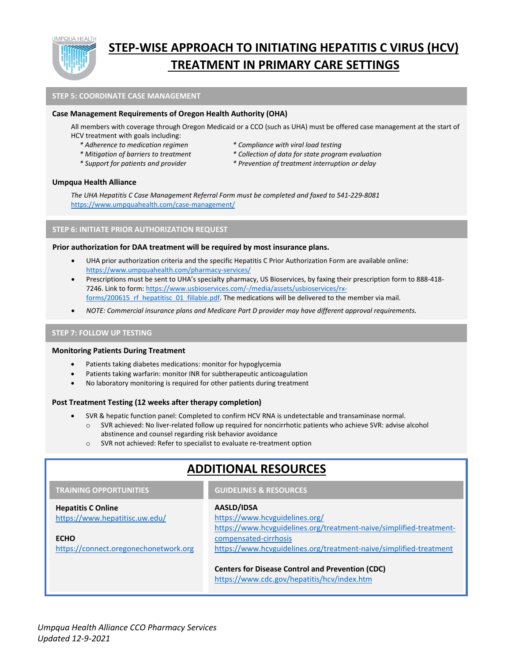

## **STEP-WISE APPROACH TO INITIATING HEPATITIS C VIRUS (HCV) TREATMENT IN PRIMARY CARE SETTINGS**

#### **STEP 5: COORDINATE CASE MANAGEMENT**

#### **Case Management Requirements of Oregon Health Authority (OHA)**

All members with coverage through Oregon Medicaid or a CCO (such as UHA) must be offered case management at the start of HCV treatment with goals including:

- 
- 
- 
- *\* Adherence to medication regimen \* Compliance with viral load testing*
- *\* Mitigation of barriers to treatment \* Collection of data for state program evaluation*
- *\* Support for patients and provider \* Prevention of treatment interruption or delay*

#### **Umpqua Health Alliance**

*The UHA Hepatitis C Case Management Referral Form must be completed and faxed to 541-229-8081*  <https://www.umpquahealth.com/case-management/>

#### **STEP 6: INITIATE PRIOR AUTHORIZATION REQUEST**

#### **Prior authorization for DAA treatment will be required by most insurance plans.**

- UHA prior authorization criteria and the specific Hepatitis C Prior Authorization Form are available online: [https://www.umpquahealth.com/pharmacy-services/.](https://www.umpquahealth.com/pharmacy-services/)
- Prescriptions must be sent to UHA's specialty pharmacy, US Bioservices, by faxing their prescription form to 888-418- 7246. Link to form[: https://www.usbioservices.com/-/media/assets/usbioservices/rx](https://www.usbioservices.com/-/media/assets/usbioservices/rx-forms/200615_rf_hepatitisc_01_fillable.pdf)forms/200615 rf hepatitisc 01 fillable.pdf. The medications will be delivered to the member via mail.
- *NOTE: Commercial insurance plans and Medicare Part D provider may have different approval requirements.*

#### **STEP 7: FOLLOW UP TESTING**

#### **Monitoring Patients During Treatment**

- Patients taking diabetes medications: monitor for hypoglycemia
- Patients taking warfarin: monitor INR for subtherapeutic anticoagulation
- No laboratory monitoring is required for other patients during treatment

#### **Post Treatment Testing (12 weeks after therapy completion)**

- SVR & hepatic function panel: Completed to confirm HCV RNA is undetectable and transaminase normal.
	- o SVR achieved: No liver-related follow up required for noncirrhotic patients who achieve SVR: advise alcohol abstinence and counsel regarding risk behavior avoidance
	- o SVR not achieved: Refer to specialist to evaluate re-treatment option

#### **AASLD/IDSA** <https://www.hcvguidelines.org/> [https://www.hcvguidelines.org/treatment-naive/simplified-treatment](https://www.hcvguidelines.org/treatment-naive/simplified-treatment-compensated-cirrhosis)[compensated-cirrhosis](https://www.hcvguidelines.org/treatment-naive/simplified-treatment-compensated-cirrhosis) <https://www.hcvguidelines.org/treatment-naive/simplified-treatment> **Centers for Disease Control and Prevention (CDC)** <https://www.cdc.gov/hepatitis/hcv/index.htm> **GUIDELINES & RESOURCES Hepatitis C Online** <https://www.hepatitisc.uw.edu/> **ECHO** [https://connect.oregonechonetwork.org](https://connect.oregonechonetwork.org/Series/Registration/1397) **TRAINING OPPORTUNITIES ADDITIONAL RESOURCES**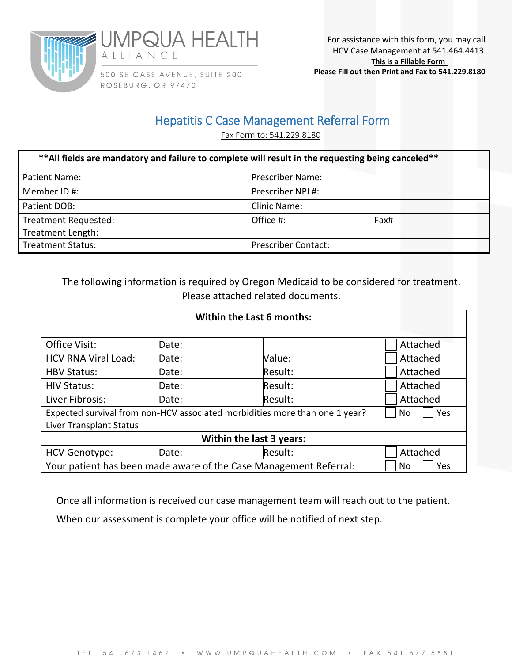



500 SE CASS AVENUE, SUITE 200 ROSEBURG, OR 97470

## Hepatitis C Case Management Referral Form

Fax Form to: 541.229.8180

| **All fields are mandatory and failure to complete will result in the requesting being canceled** |                            |  |  |  |  |  |
|---------------------------------------------------------------------------------------------------|----------------------------|--|--|--|--|--|
| Patient Name:                                                                                     | <b>Prescriber Name:</b>    |  |  |  |  |  |
| Member ID#:                                                                                       | Prescriber NPI#:           |  |  |  |  |  |
| Patient DOB:                                                                                      | Clinic Name:               |  |  |  |  |  |
| Treatment Requested:                                                                              | Office #:<br>Fax#          |  |  |  |  |  |
| Treatment Length:                                                                                 |                            |  |  |  |  |  |
| <b>Treatment Status:</b>                                                                          | <b>Prescriber Contact:</b> |  |  |  |  |  |

The following information is required by Oregon Medicaid to be considered for treatment. Please attached related documents.

| <b>Within the Last 6 months:</b>                                                         |       |         |          |  |  |  |
|------------------------------------------------------------------------------------------|-------|---------|----------|--|--|--|
|                                                                                          |       |         |          |  |  |  |
| Office Visit:                                                                            | Date: |         | Attached |  |  |  |
| <b>HCV RNA Viral Load:</b>                                                               | Date: | Value:  | Attached |  |  |  |
| <b>HBV Status:</b>                                                                       | Date: | Result: | Attached |  |  |  |
| <b>HIV Status:</b>                                                                       | Date: | Result: | Attached |  |  |  |
| Liver Fibrosis:                                                                          | Date: | Result: | Attached |  |  |  |
| Expected survival from non-HCV associated morbidities more than one 1 year?<br>Yes<br>No |       |         |          |  |  |  |
| Liver Transplant Status                                                                  |       |         |          |  |  |  |
| Within the last 3 years:                                                                 |       |         |          |  |  |  |
| <b>HCV Genotype:</b>                                                                     | Date: | Result: | Attached |  |  |  |
| Your patient has been made aware of the Case Management Referral:<br>Yes<br>No           |       |         |          |  |  |  |

Once all information is received our case management team will reach out to the patient.

When our assessment is complete your office will be notified of next step.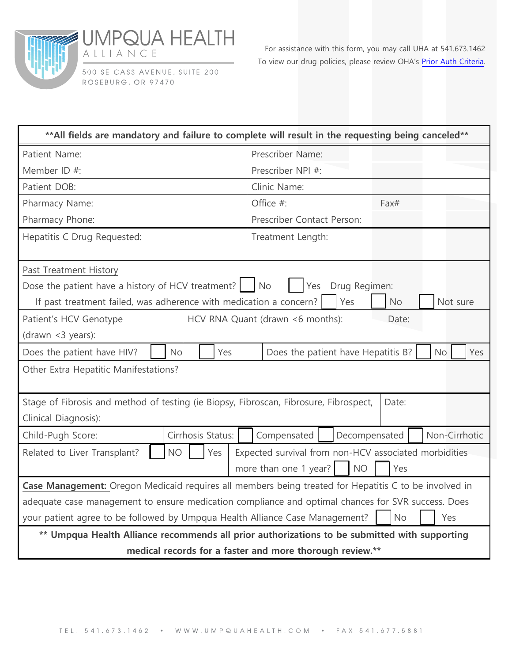



500 SE CASS AVENUE, SUITE 200 ROSEBURG, OR 97470

For assistance with this form, you may call UHA at 541.673.1462 To view our drug policies, please review OHA's [Prior Auth Criteria.](https://www.oregon.gov/oha/HSD/OHP/Tools/Oregon%20Medicaid%20PA%20Criteria,%20June%201,%202017.pdf)

| ** All fields are mandatory and failure to complete will result in the requesting being canceled**    |           |                   |     |                   |                                                        |               |           |  |               |
|-------------------------------------------------------------------------------------------------------|-----------|-------------------|-----|-------------------|--------------------------------------------------------|---------------|-----------|--|---------------|
| Patient Name:                                                                                         |           |                   |     | Prescriber Name:  |                                                        |               |           |  |               |
| Member ID #:                                                                                          |           |                   |     | Prescriber NPI #: |                                                        |               |           |  |               |
| Patient DOB:                                                                                          |           |                   |     | Clinic Name:      |                                                        |               |           |  |               |
| Pharmacy Name:                                                                                        |           |                   |     |                   | Office #:                                              |               | Fax#      |  |               |
| Pharmacy Phone:                                                                                       |           |                   |     |                   | Prescriber Contact Person:                             |               |           |  |               |
| Hepatitis C Drug Requested:                                                                           |           |                   |     | Treatment Length: |                                                        |               |           |  |               |
| Past Treatment History                                                                                |           |                   |     |                   |                                                        |               |           |  |               |
| Dose the patient have a history of HCV treatment? $\vert$ No                                          |           |                   |     |                   | Yes                                                    | Drug Regimen: |           |  |               |
| If past treatment failed, was adherence with medication a concern?                                    |           |                   |     |                   |                                                        | Yes           | <b>No</b> |  | Not sure      |
| Patient's HCV Genotype                                                                                |           |                   |     |                   | HCV RNA Quant (drawn <6 months):                       |               | Date:     |  |               |
| (drawn <3 years):                                                                                     |           |                   |     |                   |                                                        |               |           |  |               |
| Does the patient have HIV?                                                                            | <b>No</b> |                   | Yes |                   | Does the patient have Hepatitis B?<br><b>No</b><br>Yes |               |           |  |               |
| Other Extra Hepatitic Manifestations?                                                                 |           |                   |     |                   |                                                        |               |           |  |               |
| Stage of Fibrosis and method of testing (ie Biopsy, Fibroscan, Fibrosure, Fibrospect,                 |           |                   |     |                   |                                                        |               | Date:     |  |               |
| Clinical Diagnosis):                                                                                  |           |                   |     |                   |                                                        |               |           |  |               |
| Child-Pugh Score:                                                                                     |           | Cirrhosis Status: |     |                   | Compensated                                            | Decompensated |           |  | Non-Cirrhotic |
| Related to Liver Transplant?                                                                          | <b>NO</b> |                   | Yes |                   | Expected survival from non-HCV associated morbidities  |               |           |  |               |
| more than one 1 year?<br><b>NO</b><br>Yes                                                             |           |                   |     |                   |                                                        |               |           |  |               |
| Case Management: Oregon Medicaid requires all members being treated for Hepatitis C to be involved in |           |                   |     |                   |                                                        |               |           |  |               |
| adequate case management to ensure medication compliance and optimal chances for SVR success. Does    |           |                   |     |                   |                                                        |               |           |  |               |
| your patient agree to be followed by Umpqua Health Alliance Case Management?<br><b>No</b><br>Yes      |           |                   |     |                   |                                                        |               |           |  |               |
| ** Umpqua Health Alliance recommends all prior authorizations to be submitted with supporting         |           |                   |     |                   |                                                        |               |           |  |               |
| medical records for a faster and more thorough review.**                                              |           |                   |     |                   |                                                        |               |           |  |               |